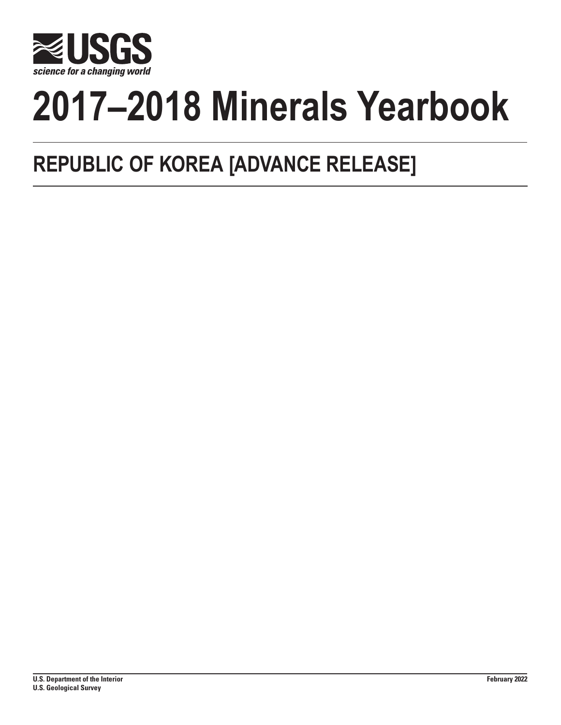

# **2017–2018 Minerals Yearbook**

## **REPUBLIC OF KOREA [ADVANCE RELEASE]**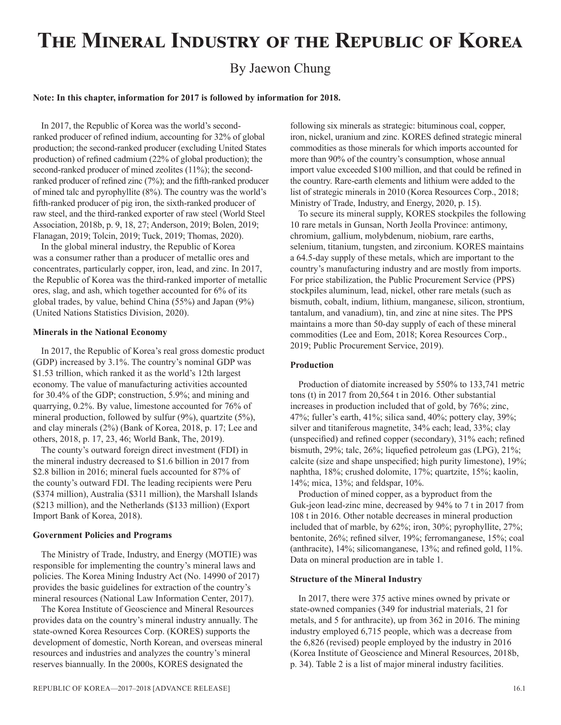## **The Mineral Industry of the Republic of Korea**

### By Jaewon Chung

#### **Note: In this chapter, information for 2017 is followed by information for 2018.**

In 2017, the Republic of Korea was the world's secondranked producer of refined indium, accounting for 32% of global production; the second-ranked producer (excluding United States production) of refined cadmium (22% of global production); the second-ranked producer of mined zeolites (11%); the secondranked producer of refined zinc (7%); and the fifth-ranked producer of mined talc and pyrophyllite (8%). The country was the world's fifth-ranked producer of pig iron, the sixth-ranked producer of raw steel, and the third-ranked exporter of raw steel (World Steel Association, 2018b, p. 9, 18, 27; Anderson, 2019; Bolen, 2019; Flanagan, 2019; Tolcin, 2019; Tuck, 2019; Thomas, 2020).

In the global mineral industry, the Republic of Korea was a consumer rather than a producer of metallic ores and concentrates, particularly copper, iron, lead, and zinc. In 2017, the Republic of Korea was the third-ranked importer of metallic ores, slag, and ash, which together accounted for 6% of its global trades, by value, behind China (55%) and Japan (9%) (United Nations Statistics Division, 2020).

#### **Minerals in the National Economy**

In 2017, the Republic of Korea's real gross domestic product (GDP) increased by 3.1%. The country's nominal GDP was \$1.53 trillion, which ranked it as the world's 12th largest economy. The value of manufacturing activities accounted for 30.4% of the GDP; construction, 5.9%; and mining and quarrying, 0.2%. By value, limestone accounted for 76% of mineral production, followed by sulfur (9%), quartzite (5%), and clay minerals (2%) (Bank of Korea, 2018, p. 17; Lee and others, 2018, p. 17, 23, 46; World Bank, The, 2019).

The county's outward foreign direct investment (FDI) in the mineral industry decreased to \$1.6 billion in 2017 from \$2.8 billion in 2016; mineral fuels accounted for 87% of the county's outward FDI. The leading recipients were Peru (\$374 million), Australia (\$311 million), the Marshall Islands (\$213 million), and the Netherlands (\$133 million) (Export Import Bank of Korea, 2018).

#### **Government Policies and Programs**

The Ministry of Trade, Industry, and Energy (MOTIE) was responsible for implementing the country's mineral laws and policies. The Korea Mining Industry Act (No. 14990 of 2017) provides the basic guidelines for extraction of the country's mineral resources (National Law Information Center, 2017).

The Korea Institute of Geoscience and Mineral Resources provides data on the country's mineral industry annually. The state-owned Korea Resources Corp. (KORES) supports the development of domestic, North Korean, and overseas mineral resources and industries and analyzes the country's mineral reserves biannually. In the 2000s, KORES designated the

following six minerals as strategic: bituminous coal, copper, iron, nickel, uranium and zinc. KORES defined strategic mineral commodities as those minerals for which imports accounted for more than 90% of the country's consumption, whose annual import value exceeded \$100 million, and that could be refined in the country. Rare-earth elements and lithium were added to the list of strategic minerals in 2010 (Korea Resources Corp., 2018; Ministry of Trade, Industry, and Energy, 2020, p. 15).

To secure its mineral supply, KORES stockpiles the following 10 rare metals in Gunsan, North Jeolla Province: antimony, chromium, gallium, molybdenum, niobium, rare earths, selenium, titanium, tungsten, and zirconium. KORES maintains a 64.5-day supply of these metals, which are important to the country's manufacturing industry and are mostly from imports. For price stabilization, the Public Procurement Service (PPS) stockpiles aluminum, lead, nickel, other rare metals (such as bismuth, cobalt, indium, lithium, manganese, silicon, strontium, tantalum, and vanadium), tin, and zinc at nine sites. The PPS maintains a more than 50-day supply of each of these mineral commodities (Lee and Eom, 2018; Korea Resources Corp., 2019; Public Procurement Service, 2019).

#### **Production**

Production of diatomite increased by 550% to 133,741 metric tons (t) in 2017 from 20,564 t in 2016. Other substantial increases in production included that of gold, by 76%; zinc, 47%; fuller's earth, 41%; silica sand, 40%; pottery clay, 39%; silver and titaniferous magnetite, 34% each; lead, 33%; clay (unspecified) and refined copper (secondary), 31% each; refined bismuth, 29%; talc, 26%; liquefied petroleum gas (LPG), 21%; calcite (size and shape unspecified; high purity limestone), 19%; naphtha, 18%; crushed dolomite, 17%; quartzite, 15%; kaolin, 14%; mica, 13%; and feldspar, 10%.

Production of mined copper, as a byproduct from the Guk-jeon lead-zinc mine, decreased by 94% to 7 t in 2017 from 108 t in 2016. Other notable decreases in mineral production included that of marble, by 62%; iron, 30%; pyrophyllite, 27%; bentonite, 26%; refined silver, 19%; ferromanganese, 15%; coal (anthracite), 14%; silicomanganese, 13%; and refined gold, 11%. Data on mineral production are in table 1.

#### **Structure of the Mineral Industry**

In 2017, there were 375 active mines owned by private or state-owned companies (349 for industrial materials, 21 for metals, and 5 for anthracite), up from 362 in 2016. The mining industry employed 6,715 people, which was a decrease from the 6,826 (revised) people employed by the industry in 2016 (Korea Institute of Geoscience and Mineral Resources, 2018b, p. 34). Table 2 is a list of major mineral industry facilities.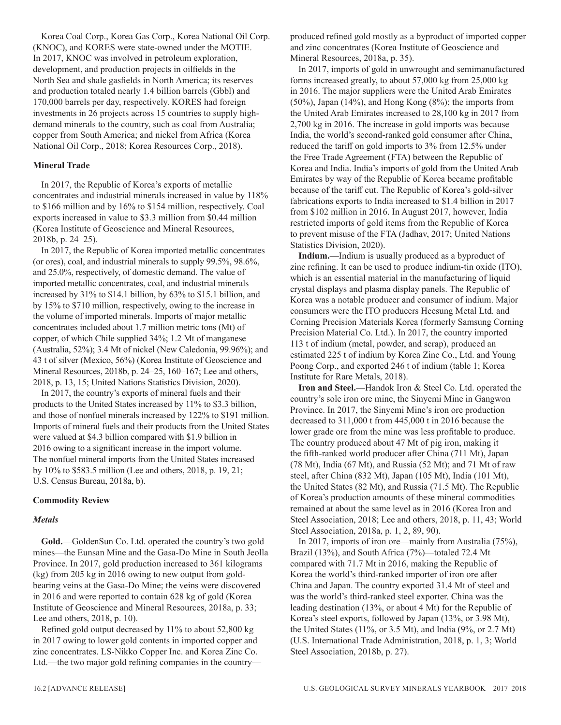Korea Coal Corp., Korea Gas Corp., Korea National Oil Corp. (KNOC), and KORES were state-owned under the MOTIE. In 2017, KNOC was involved in petroleum exploration, development, and production projects in oilfields in the North Sea and shale gasfields in North America; its reserves and production totaled nearly 1.4 billion barrels (Gbbl) and 170,000 barrels per day, respectively. KORES had foreign investments in 26 projects across 15 countries to supply highdemand minerals to the country, such as coal from Australia; copper from South America; and nickel from Africa (Korea National Oil Corp., 2018; Korea Resources Corp., 2018).

#### **Mineral Trade**

In 2017, the Republic of Korea's exports of metallic concentrates and industrial minerals increased in value by 118% to \$166 million and by 16% to \$154 million, respectively. Coal exports increased in value to \$3.3 million from \$0.44 million (Korea Institute of Geoscience and Mineral Resources, 2018b, p. 24–25).

In 2017, the Republic of Korea imported metallic concentrates (or ores), coal, and industrial minerals to supply 99.5%, 98.6%, and 25.0%, respectively, of domestic demand. The value of imported metallic concentrates, coal, and industrial minerals increased by 31% to \$14.1 billion, by 63% to \$15.1 billion, and by 15% to \$710 million, respectively, owing to the increase in the volume of imported minerals. Imports of major metallic concentrates included about 1.7 million metric tons (Mt) of copper, of which Chile supplied 34%; 1.2 Mt of manganese (Australia, 52%); 3.4 Mt of nickel (New Caledonia, 99.96%); and 43 t of silver (Mexico, 56%) (Korea Institute of Geoscience and Mineral Resources, 2018b, p. 24–25, 160–167; Lee and others, 2018, p. 13, 15; United Nations Statistics Division, 2020).

In 2017, the country's exports of mineral fuels and their products to the United States increased by 11% to \$3.3 billion, and those of nonfuel minerals increased by 122% to \$191 million. Imports of mineral fuels and their products from the United States were valued at \$4.3 billion compared with \$1.9 billion in 2016 owing to a significant increase in the import volume. The nonfuel mineral imports from the United States increased by 10% to \$583.5 million (Lee and others, 2018, p. 19, 21; U.S. Census Bureau, 2018a, b).

#### **Commodity Review**

#### *Metals*

**Gold.**—GoldenSun Co. Ltd. operated the country's two gold mines—the Eunsan Mine and the Gasa-Do Mine in South Jeolla Province. In 2017, gold production increased to 361 kilograms (kg) from 205 kg in 2016 owing to new output from goldbearing veins at the Gasa-Do Mine; the veins were discovered in 2016 and were reported to contain 628 kg of gold (Korea Institute of Geoscience and Mineral Resources, 2018a, p. 33; Lee and others, 2018, p. 10).

Refined gold output decreased by 11% to about 52,800 kg in 2017 owing to lower gold contents in imported copper and zinc concentrates. LS-Nikko Copper Inc. and Korea Zinc Co. Ltd.—the two major gold refining companies in the countryproduced refined gold mostly as a byproduct of imported copper and zinc concentrates (Korea Institute of Geoscience and Mineral Resources, 2018a, p. 35).

In 2017, imports of gold in unwrought and semimanufactured forms increased greatly, to about 57,000 kg from 25,000 kg in 2016. The major suppliers were the United Arab Emirates (50%), Japan (14%), and Hong Kong (8%); the imports from the United Arab Emirates increased to 28,100 kg in 2017 from 2,700 kg in 2016. The increase in gold imports was because India, the world's second-ranked gold consumer after China, reduced the tariff on gold imports to 3% from 12.5% under the Free Trade Agreement (FTA) between the Republic of Korea and India. India's imports of gold from the United Arab Emirates by way of the Republic of Korea became profitable because of the tariff cut. The Republic of Korea's gold-silver fabrications exports to India increased to \$1.4 billion in 2017 from \$102 million in 2016. In August 2017, however, India restricted imports of gold items from the Republic of Korea to prevent misuse of the FTA (Jadhav, 2017; United Nations Statistics Division, 2020).

**Indium.**—Indium is usually produced as a byproduct of zinc refining. It can be used to produce indium-tin oxide (ITO), which is an essential material in the manufacturing of liquid crystal displays and plasma display panels. The Republic of Korea was a notable producer and consumer of indium. Major consumers were the ITO producers Heesung Metal Ltd. and Corning Precision Materials Korea (formerly Samsung Corning Precision Material Co. Ltd.). In 2017, the country imported 113 t of indium (metal, powder, and scrap), produced an estimated 225 t of indium by Korea Zinc Co., Ltd. and Young Poong Corp., and exported 246 t of indium (table 1; Korea Institute for Rare Metals, 2018).

**Iron and Steel.**—Handok Iron & Steel Co. Ltd. operated the country's sole iron ore mine, the Sinyemi Mine in Gangwon Province. In 2017, the Sinyemi Mine's iron ore production decreased to 311,000 t from 445,000 t in 2016 because the lower grade ore from the mine was less profitable to produce. The country produced about 47 Mt of pig iron, making it the fifth-ranked world producer after China (711 Mt), Japan (78 Mt), India (67 Mt), and Russia (52 Mt); and 71 Mt of raw steel, after China (832 Mt), Japan (105 Mt), India (101 Mt), the United States (82 Mt), and Russia (71.5 Mt). The Republic of Korea's production amounts of these mineral commodities remained at about the same level as in 2016 (Korea Iron and Steel Association, 2018; Lee and others, 2018, p. 11, 43; World Steel Association, 2018a, p. 1, 2, 89, 90).

In 2017, imports of iron ore—mainly from Australia (75%), Brazil (13%), and South Africa (7%)—totaled 72.4 Mt compared with 71.7 Mt in 2016, making the Republic of Korea the world's third-ranked importer of iron ore after China and Japan. The country exported 31.4 Mt of steel and was the world's third-ranked steel exporter. China was the leading destination (13%, or about 4 Mt) for the Republic of Korea's steel exports, followed by Japan (13%, or 3.98 Mt), the United States (11%, or 3.5 Mt), and India (9%, or 2.7 Mt) (U.S. International Trade Administration, 2018, p. 1, 3; World Steel Association, 2018b, p. 27).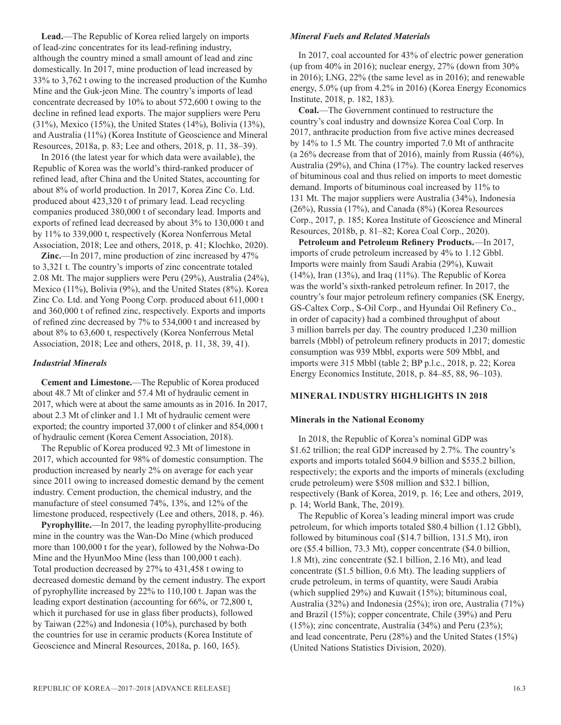**Lead.**—The Republic of Korea relied largely on imports of lead-zinc concentrates for its lead-refining industry, although the country mined a small amount of lead and zinc domestically. In 2017, mine production of lead increased by 33% to 3,762 t owing to the increased production of the Kumho Mine and the Guk-jeon Mine. The country's imports of lead concentrate decreased by 10% to about 572,600 t owing to the decline in refined lead exports. The major suppliers were Peru (31%), Mexico (15%), the United States (14%), Bolivia (13%), and Australia (11%) (Korea Institute of Geoscience and Mineral Resources, 2018a, p. 83; Lee and others, 2018, p. 11, 38–39).

In 2016 (the latest year for which data were available), the Republic of Korea was the world's third-ranked producer of refined lead, after China and the United States, accounting for about 8% of world production. In 2017, Korea Zinc Co. Ltd. produced about 423,320 t of primary lead. Lead recycling companies produced 380,000 t of secondary lead. Imports and exports of refined lead decreased by about 3% to 130,000 t and by 11% to 339,000 t, respectively (Korea Nonferrous Metal Association, 2018; Lee and others, 2018, p. 41; Klochko, 2020).

**Zinc.**—In 2017, mine production of zinc increased by 47% to 3,321 t. The country's imports of zinc concentrate totaled 2.08 Mt. The major suppliers were Peru (29%), Australia (24%), Mexico (11%), Bolivia (9%), and the United States (8%). Korea Zinc Co. Ltd. and Yong Poong Corp. produced about 611,000 t and 360,000 t of refined zinc, respectively. Exports and imports of refined zinc decreased by 7% to 534,000 t and increased by about 8% to 63,600 t, respectively (Korea Nonferrous Metal Association, 2018; Lee and others, 2018, p. 11, 38, 39, 41).

#### *Industrial Minerals*

**Cement and Limestone.**—The Republic of Korea produced about 48.7 Mt of clinker and 57.4 Mt of hydraulic cement in 2017, which were at about the same amounts as in 2016. In 2017, about 2.3 Mt of clinker and 1.1 Mt of hydraulic cement were exported; the country imported 37,000 t of clinker and 854,000 t of hydraulic cement (Korea Cement Association, 2018).

The Republic of Korea produced 92.3 Mt of limestone in 2017, which accounted for 98% of domestic consumption. The production increased by nearly 2% on average for each year since 2011 owing to increased domestic demand by the cement industry. Cement production, the chemical industry, and the manufacture of steel consumed 74%, 13%, and 12% of the limestone produced, respectively (Lee and others, 2018, p. 46).

**Pyrophyllite.**—In 2017, the leading pyrophyllite-producing mine in the country was the Wan-Do Mine (which produced more than 100,000 t for the year), followed by the Nohwa-Do Mine and the HyunMoo Mine (less than 100,000 t each). Total production decreased by 27% to 431,458 t owing to decreased domestic demand by the cement industry. The export of pyrophyllite increased by 22% to 110,100 t. Japan was the leading export destination (accounting for 66%, or 72,800 t, which it purchased for use in glass fiber products), followed by Taiwan (22%) and Indonesia (10%), purchased by both the countries for use in ceramic products (Korea Institute of Geoscience and Mineral Resources, 2018a, p. 160, 165).

#### *Mineral Fuels and Related Materials*

In 2017, coal accounted for 43% of electric power generation (up from 40% in 2016); nuclear energy, 27% (down from 30% in 2016); LNG, 22% (the same level as in 2016); and renewable energy, 5.0% (up from 4.2% in 2016) (Korea Energy Economics Institute, 2018, p. 182, 183).

**Coal.**—The Government continued to restructure the country's coal industry and downsize Korea Coal Corp. In 2017, anthracite production from five active mines decreased by 14% to 1.5 Mt. The country imported 7.0 Mt of anthracite (a 26% decrease from that of 2016), mainly from Russia (46%), Australia (29%), and China (17%). The country lacked reserves of bituminous coal and thus relied on imports to meet domestic demand. Imports of bituminous coal increased by 11% to 131 Mt. The major suppliers were Australia (34%), Indonesia (26%), Russia (17%), and Canada (8%) (Korea Resources Corp., 2017, p. 185; Korea Institute of Geoscience and Mineral Resources, 2018b, p. 81–82; Korea Coal Corp., 2020).

**Petroleum and Petroleum Refinery Products.**—In 2017, imports of crude petroleum increased by 4% to 1.12 Gbbl. Imports were mainly from Saudi Arabia (29%), Kuwait  $(14\%)$ , Iran  $(13\%)$ , and Iraq  $(11\%)$ . The Republic of Korea was the world's sixth-ranked petroleum refiner. In 2017, the country's four major petroleum refinery companies (SK Energy, GS-Caltex Corp., S-Oil Corp., and Hyundai Oil Refinery Co., in order of capacity) had a combined throughput of about 3 million barrels per day. The country produced 1,230 million barrels (Mbbl) of petroleum refinery products in 2017; domestic consumption was 939 Mbbl, exports were 509 Mbbl, and imports were 315 Mbbl (table 2; BP p.l.c., 2018, p. 22; Korea Energy Economics Institute, 2018, p. 84–85, 88, 96–103).

#### **MINERAL INDUSTRY HIGHLIGHTS IN 2018**

#### **Minerals in the National Economy**

In 2018, the Republic of Korea's nominal GDP was \$1.62 trillion; the real GDP increased by 2.7%. The country's exports and imports totaled \$604.9 billion and \$535.2 billion, respectively; the exports and the imports of minerals (excluding crude petroleum) were \$508 million and \$32.1 billion, respectively (Bank of Korea, 2019, p. 16; Lee and others, 2019, p. 14; World Bank, The, 2019).

The Republic of Korea's leading mineral import was crude petroleum, for which imports totaled \$80.4 billion (1.12 Gbbl), followed by bituminous coal (\$14.7 billion, 131.5 Mt), iron ore (\$5.4 billion, 73.3 Mt), copper concentrate (\$4.0 billion, 1.8 Mt), zinc concentrate (\$2.1 billion, 2.16 Mt), and lead concentrate (\$1.5 billion, 0.6 Mt). The leading suppliers of crude petroleum, in terms of quantity, were Saudi Arabia (which supplied 29%) and Kuwait (15%); bituminous coal, Australia (32%) and Indonesia (25%); iron ore, Australia (71%) and Brazil (15%); copper concentrate, Chile (39%) and Peru (15%); zinc concentrate, Australia (34%) and Peru (23%); and lead concentrate, Peru (28%) and the United States (15%) (United Nations Statistics Division, 2020).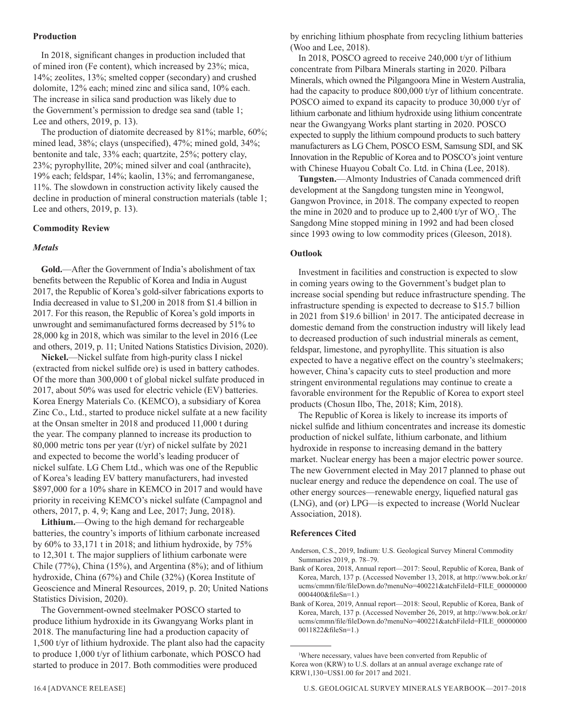#### **Production**

In 2018, significant changes in production included that of mined iron (Fe content), which increased by 23%; mica, 14%; zeolites, 13%; smelted copper (secondary) and crushed dolomite, 12% each; mined zinc and silica sand, 10% each. The increase in silica sand production was likely due to the Government's permission to dredge sea sand (table 1; Lee and others, 2019, p. 13).

The production of diatomite decreased by 81%; marble, 60%; mined lead, 38%; clays (unspecified), 47%; mined gold, 34%; bentonite and talc, 33% each; quartzite, 25%; pottery clay, 23%; pyrophyllite, 20%; mined silver and coal (anthracite), 19% each; feldspar, 14%; kaolin, 13%; and ferromanganese, 11%. The slowdown in construction activity likely caused the decline in production of mineral construction materials (table 1; Lee and others, 2019, p. 13).

#### **Commodity Review**

#### *Metals*

**Gold.**—After the Government of India's abolishment of tax benefits between the Republic of Korea and India in August 2017, the Republic of Korea's gold-silver fabrications exports to India decreased in value to \$1,200 in 2018 from \$1.4 billion in 2017. For this reason, the Republic of Korea's gold imports in unwrought and semimanufactured forms decreased by 51% to 28,000 kg in 2018, which was similar to the level in 2016 (Lee and others, 2019, p. 11; United Nations Statistics Division, 2020).

**Nickel.**—Nickel sulfate from high-purity class I nickel (extracted from nickel sulfide ore) is used in battery cathodes. Of the more than 300,000 t of global nickel sulfate produced in 2017, about 50% was used for electric vehicle (EV) batteries. Korea Energy Materials Co. (KEMCO), a subsidiary of Korea Zinc Co., Ltd., started to produce nickel sulfate at a new facility at the Onsan smelter in 2018 and produced 11,000 t during the year. The company planned to increase its production to 80,000 metric tons per year (t/yr) of nickel sulfate by 2021 and expected to become the world's leading producer of nickel sulfate. LG Chem Ltd., which was one of the Republic of Korea's leading EV battery manufacturers, had invested \$897,000 for a 10% share in KEMCO in 2017 and would have priority in receiving KEMCO's nickel sulfate (Campagnol and others, 2017, p. 4, 9; Kang and Lee, 2017; Jung, 2018).

**Lithium.**—Owing to the high demand for rechargeable batteries, the country's imports of lithium carbonate increased by 60% to 33,171 t in 2018; and lithium hydroxide, by 75% to 12,301 t. The major suppliers of lithium carbonate were Chile (77%), China (15%), and Argentina (8%); and of lithium hydroxide, China (67%) and Chile (32%) (Korea Institute of Geoscience and Mineral Resources, 2019, p. 20; United Nations Statistics Division, 2020).

The Government-owned steelmaker POSCO started to produce lithium hydroxide in its Gwangyang Works plant in 2018. The manufacturing line had a production capacity of 1,500 t/yr of lithium hydroxide. The plant also had the capacity to produce 1,000 t/yr of lithium carbonate, which POSCO had started to produce in 2017. Both commodities were produced

by enriching lithium phosphate from recycling lithium batteries (Woo and Lee, 2018).

In 2018, POSCO agreed to receive 240,000 t/yr of lithium concentrate from Pilbara Minerals starting in 2020. Pilbara Minerals, which owned the Pilgangoora Mine in Western Australia, had the capacity to produce 800,000 t/yr of lithium concentrate. POSCO aimed to expand its capacity to produce 30,000 t/yr of lithium carbonate and lithium hydroxide using lithium concentrate near the Gwangyang Works plant starting in 2020. POSCO expected to supply the lithium compound products to such battery manufacturers as LG Chem, POSCO ESM, Samsung SDI, and SK Innovation in the Republic of Korea and to POSCO's joint venture with Chinese Huayou Cobalt Co. Ltd. in China (Lee, 2018).

**Tungsten.**—Almonty Industries of Canada commenced drift development at the Sangdong tungsten mine in Yeongwol, Gangwon Province, in 2018. The company expected to reopen the mine in 2020 and to produce up to 2,400 t/yr of  $WO_3$ . The Sangdong Mine stopped mining in 1992 and had been closed since 1993 owing to low commodity prices (Gleeson, 2018).

#### **Outlook**

Investment in facilities and construction is expected to slow in coming years owing to the Government's budget plan to increase social spending but reduce infrastructure spending. The infrastructure spending is expected to decrease to \$15.7 billion in 2021 from \$19.6 billion<sup>1</sup> in 2017. The anticipated decrease in domestic demand from the construction industry will likely lead to decreased production of such industrial minerals as cement, feldspar, limestone, and pyrophyllite. This situation is also expected to have a negative effect on the country's steelmakers; however, China's capacity cuts to steel production and more stringent environmental regulations may continue to create a favorable environment for the Republic of Korea to export steel products (Chosun Ilbo, The, 2018; Kim, 2018).

The Republic of Korea is likely to increase its imports of nickel sulfide and lithium concentrates and increase its domestic production of nickel sulfate, lithium carbonate, and lithium hydroxide in response to increasing demand in the battery market. Nuclear energy has been a major electric power source. The new Government elected in May 2017 planned to phase out nuclear energy and reduce the dependence on coal. The use of other energy sources—renewable energy, liquefied natural gas (LNG), and (or) LPG—is expected to increase (World Nuclear Association, 2018).

#### **References Cited**

- Anderson, C.S., 2019, Indium: U.S. Geological Survey Mineral Commodity Summaries 2019, p. 78–79.
- Bank of Korea, 2018, Annual report—2017: Seoul, Republic of Korea, Bank of Korea, March, 137 p. (Accessed November 13, 2018, at http://www.bok.or.kr/ ucms/cmmn/file/fileDown.do?menuNo=400221&atchFileId=FILE\_00000000 0004400&fileSn=1.)
- Bank of Korea, 2019, Annual report—2018: Seoul, Republic of Korea, Bank of Korea, March, 137 p. (Accessed November 26, 2019, at http://www.bok.or.kr/ ucms/cmmn/file/fileDown.do?menuNo=400221&atchFileId=FILE\_00000000 0011822&fileSn=1.)

<sup>1</sup> Where necessary, values have been converted from Republic of Korea won (KRW) to U.S. dollars at an annual average exchange rate of KRW1,130=US\$1.00 for 2017 and 2021.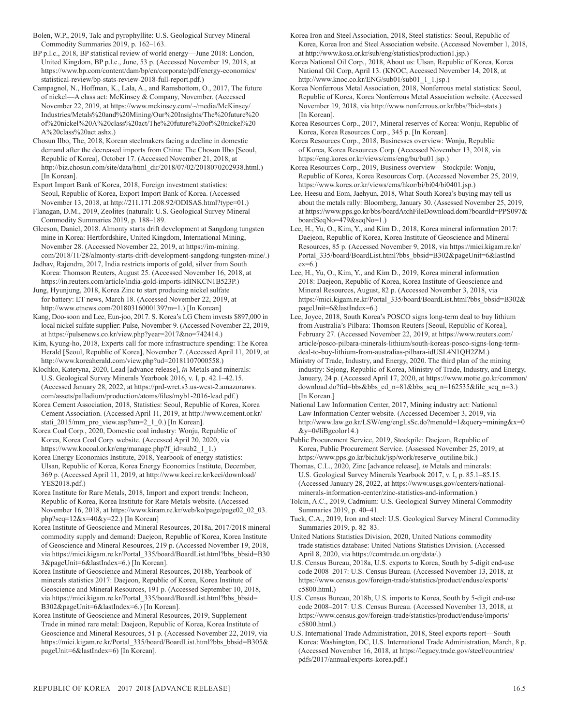Bolen, W.P., 2019, Talc and pyrophyllite: U.S. Geological Survey Mineral Commodity Summaries 2019, p. 162–163.

BP p.l.c., 2018, BP statistical review of world energy—June 2018: London, United Kingdom, BP p.l.c., June, 53 p. (Accessed November 19, 2018, at https://www.bp.com/content/dam/bp/en/corporate/pdf/energy-economics/ statistical-review/bp-stats-review-2018-full-report.pdf.)

Campagnol, N., Hoffman, K., Lala, A., and Ramsbottom, O., 2017, The future of nickel—A class act: McKinsey & Company, November. (Accessed November 22, 2019, at https://www.mckinsey.com/~/media/McKinsey/ Industries/Metals%20and%20Mining/Our%20Insights/The%20future%20 of%20nickel%20A%20class%20act/The%20future%20of%20nickel%20 A%20class%20act.ashx.)

Chosun Ilbo, The, 2018, Korean steelmakers facing a decline in domestic demand after the decreased imports from China: The Chosun Ilbo [Seoul, Republic of Korea], October 17. (Accessed November 21, 2018, at http://biz.chosun.com/site/data/html\_dir/2018/07/02/2018070202938.html.) [In Korean].

Export Import Bank of Korea, 2018, Foreign investment statistics: Seoul, Republic of Korea, Export Import Bank of Korea. (Accessed November 13, 2018, at http://211.171.208.92/ODISAS.html?type=01.)

Flanagan, D.M., 2019, Zeolites (natural): U.S. Geological Survey Mineral Commodity Summaries 2019, p. 188–189.

Gleeson, Daniel, 2018. Almonty starts drift development at Sangdong tungsten mine in Korea: Hertfordshire, United Kingdom, International Mining, November 28. (Accessed November 22, 2019, at https://im-mining. com/2018/11/28/almonty-starts-drift-development-sangdong-tungsten-mine/.)

Jadhav, Rajendra, 2017, India restricts imports of gold, silver from South Korea: Thomson Reuters, August 25. (Accessed November 16, 2018, at https://in.reuters.com/article/india-gold-imports-idINKCN1B523P.)

Jung, Hyunjung, 2018, Korea Zinc to start producing nickel sulfate for battery: ET news, March 18. (Accessed November 22, 2019, at http://www.etnews.com/20180316000139?m=1.) [In Korean]

Kang, Doo-soon and Lee, Eun-joo, 2017. S. Korea's LG Chem invests \$897,000 in local nickel sulfate supplier: Pulse, November 9. (Accessed November 22, 2019, at https://pulsenews.co.kr/view.php?year=2017&no=742414.)

Kim, Kyung-ho, 2018, Experts call for more infrastructure spending: The Korea Herald [Seoul, Republic of Korea], November 7. (Accessed April 11, 2019, at http://www.koreaherald.com/view.php?ud=20181107000558.)

Klochko, Kateryna, 2020, Lead [advance release], *in* Metals and minerals: U.S. Geological Survey Minerals Yearbook 2016, v. I, p. 42.1–42.15. (Accessed January 28, 2022, at https://prd-wret.s3.us-west-2.amazonaws. com/assets/palladium/production/atoms/files/myb1-2016-lead.pdf.)

Korea Cement Association, 2018, Statistics: Seoul, Republic of Korea, Korea Cement Association. (Accessed April 11, 2019, at http://www.cement.or.kr/ stati\_2015/mm\_pro\_view.asp?sm=2\_1\_0.) [In Korean].

Korea Coal Corp., 2020, Domestic coal industry: Wonju, Republic of Korea, Korea Coal Corp. website. (Accessed April 20, 2020, via https://www.kocoal.or.kr/eng/manage.php?f\_id=sub2\_1\_1.)

Korea Energy Economics Institute, 2018, Yearbook of energy statistics: Ulsan, Republic of Korea, Korea Energy Economics Institute, December, 369 p. (Accessed April 11, 2019, at http://www.keei.re.kr/keei/download/ YES2018.pdf.)

Korea Institute for Rare Metals, 2018, Import and export trends: Incheon, Republic of Korea, Korea Institute for Rare Metals website. (Accessed November 16, 2018, at https://www.kiram.re.kr/web/ko/page/page02\_02\_03. php?seq=12&x=40&y=22.) [In Korean]

Korea Institute of Geoscience and Mineral Resources, 2018a, 2017/2018 mineral commodity supply and demand: Daejeon, Republic of Korea, Korea Institute of Geoscience and Mineral Resources, 219 p. (Accessed November 19, 2018, via https://mici.kigam.re.kr/Portal\_335/board/BoardList.html?bbs\_bbsid=B30 3&pageUnit=6&lastIndex=6.) [In Korean].

Korea Institute of Geoscience and Mineral Resources, 2018b, Yearbook of minerals statistics 2017: Daejeon, Republic of Korea, Korea Institute of Geoscience and Mineral Resources, 191 p. (Accessed September 10, 2018, via https://mici.kigam.re.kr/Portal\_335/board/BoardList.html?bbs\_bbsid= B302&pageUnit=6&lastIndex=6.) [In Korean].

Korea Institute of Geoscience and Mineral Resources, 2019, Supplement— Trade in mined rare metal: Daejeon, Republic of Korea, Korea Institute of Geoscience and Mineral Resources, 51 p. (Accessed November 22, 2019, via https://mici.kigam.re.kr/Portal\_335/board/BoardList.html?bbs\_bbsid=B305& pageUnit=6&lastIndex=6) [In Korean].

Korea Iron and Steel Association, 2018, Steel statistics: Seoul, Republic of Korea, Korea Iron and Steel Association website. (Accessed November 1, 2018, at http://www.kosa.or.kr/sub/eng/statistics/production1.jsp.)

Korea National Oil Corp., 2018, About us: Ulsan, Republic of Korea, Korea National Oil Corp, April 13. (KNOC, Accessed November 14, 2018, at http://www.knoc.co.kr/ENG/sub01/sub01\_1\_1.jsp.)

Korea Nonferrous Metal Association, 2018, Nonferrous metal statistics: Seoul, Republic of Korea, Korea Nonferrous Metal Association website. (Accessed November 19, 2018, via http://www.nonferrous.or.kr/bbs/?bid=stats.) [In Korean].

Korea Resources Corp., 2017, Mineral reserves of Korea: Wonju, Republic of Korea, Korea Resources Corp., 345 p. [In Korean].

Korea Resources Corp., 2018, Businesses overview: Wonju, Republic of Korea, Korea Resources Corp. (Accessed November 13, 2018, via https://eng.kores.or.kr/views/cms/eng/bu/bu01.jsp.)

Korea Resources Corp., 2019, Business overview—Stockpile: Wonju, Republic of Korea, Korea Resources Corp. (Accessed November 25, 2019, https://www.kores.or.kr/views/cms/hkor/bi/bi04/bi0401.jsp.)

Lee, Heesu and Eom, Jaehyun, 2018, What South Korea's buying may tell us about the metals rally: Bloomberg, January 30. (Assessed November 25, 2019, at https://www.pps.go.kr/bbs/boardAtchFileDownload.dom?boardId=PPS097& boardSeqNo=479&seqNo=1.)

Lee, H., Yu, O., Kim, Y., and Kim D., 2018, Korea mineral information 2017: Daejeon, Republic of Korea, Korea Institute of Geoscience and Mineral Resources, 85 p. (Accessed November 9, 2018, via https://mici.kigam.re.kr/ Portal\_335/board/BoardList.html?bbs\_bbsid=B302&pageUnit=6&lastInd  $ex=6.$ )

Lee, H., Yu, O., Kim, Y., and Kim D., 2019, Korea mineral information 2018: Daejeon, Republic of Korea, Korea Institute of Geoscience and Mineral Resources, August, 82 p. (Accessed November 3, 2018, via https://mici.kigam.re.kr/Portal\_335/board/BoardList.html?bbs\_bbsid=B302& pageUnit=6&lastIndex=6.)

Lee, Joyce, 2018, South Korea's POSCO signs long-term deal to buy lithium from Australia's Pilbara: Thomson Reuters [Seoul, Republic of Korea], February 27. (Accessed November 22, 2019, at https://www.reuters.com/ article/posco-pilbara-minerals-lithium/south-koreas-posco-signs-long-termdeal-to-buy-lithium-from-australias-pilbara-idUSL4N1QH2ZM.)

Ministry of Trade, Industry, and Energy, 2020. The third plan of the mining industry: Sejong, Republic of Korea, Ministry of Trade, Industry, and Energy, January, 24 p. (Accessed April 17, 2020, at https://www.motie.go.kr/common/ download.do?fid=bbs&bbs\_cd\_n=81&bbs\_seq\_n=162535&file\_seq\_n=3.) [In Korean.]

National Law Information Center, 2017, Mining industry act: National Law Information Center website. (Accessed December 3, 2019, via http://www.law.go.kr/LSW/eng/engLsSc.do?menuId=1&query=mining&x=0 &y=0#liBgcolor14.)

Public Procurement Service, 2019, Stockpile: Daejeon, Republic of Korea, Public Procurement Service. (Assessed November 25, 2019, at https://www.pps.go.kr/bichuk/jsp/work/reserve\_outiline.bik.)

Thomas, C.L., 2020, Zinc [advance release], *in* Metals and minerals: U.S. Geological Survey Minerals Yearbook 2017, v. I, p. 85.1–85.15. (Accessed January 28, 2022, at https://www.usgs.gov/centers/nationalminerals-information-center/zinc-statistics-and-information.)

Tolcin, A.C., 2019, Cadmium: U.S. Geological Survey Mineral Commodity Summaries 2019, p. 40–41.

Tuck, C.A., 2019, Iron and steel: U.S. Geological Survey Mineral Commodity Summaries 2019, p. 82–83.

United Nations Statistics Division, 2020, United Nations commodity trade statistics database: United Nations Statistics Division. (Accessed April 8, 2020, via https://comtrade.un.org/data/.)

U.S. Census Bureau, 2018a, U.S. exports to Korea, South by 5-digit end-use code 2008–2017: U.S. Census Bureau. (Accessed November 13, 2018, at https://www.census.gov/foreign-trade/statistics/product/enduse/exports/ c5800.html.)

U.S. Census Bureau, 2018b, U.S. imports to Korea, South by 5-digit end-use code 2008–2017: U.S. Census Bureau. (Accessed November 13, 2018, at https://www.census.gov/foreign-trade/statistics/product/enduse/imports/ c5800.html.)

U.S. International Trade Administration, 2018, Steel exports report—South Korea: Washington, DC, U.S. International Trade Administration, March, 8 p. (Accessed November 16, 2018, at https://legacy.trade.gov/steel/countries/ pdfs/2017/annual/exports-korea.pdf.)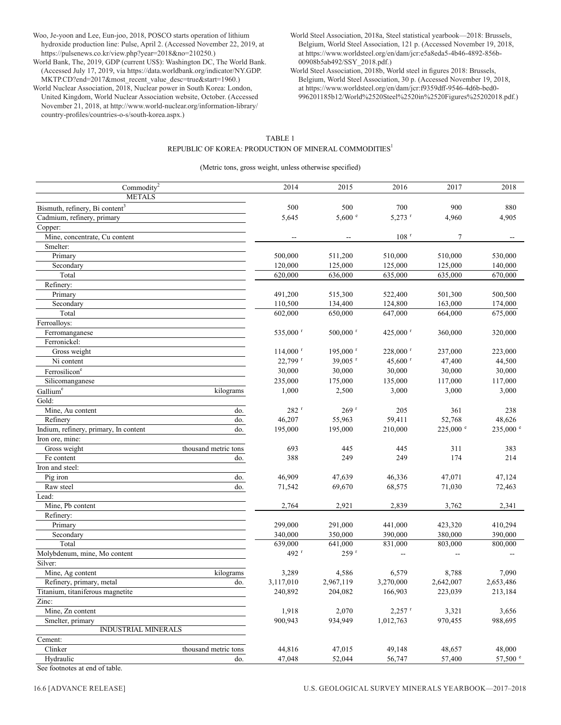Woo, Je-yoon and Lee, Eun-joo, 2018, POSCO starts operation of lithium hydroxide production line: Pulse, April 2. (Accessed November 22, 2019, at https://pulsenews.co.kr/view.php?year=2018&no=210250.)

World Bank, The, 2019, GDP (current US\$): Washington DC, The World Bank. (Accessed July 17, 2019, via https://data.worldbank.org/indicator/NY.GDP. MKTP.CD?end=2017&most\_recent\_value\_desc=true&start=1960.)

World Nuclear Association, 2018, Nuclear power in South Korea: London, United Kingdom, World Nuclear Association website, October. (Accessed November 21, 2018, at http://www.world-nuclear.org/information-library/ country-profiles/countries-o-s/south-korea.aspx.)

- World Steel Association, 2018a, Steel statistical yearbook—2018: Brussels, Belgium, World Steel Association, 121 p. (Accessed November 19, 2018, at https://www.worldsteel.org/en/dam/jcr:e5a8eda5-4b46-4892-856b-00908b5ab492/SSY\_2018.pdf.)
- World Steel Association, 2018b, World steel in figures 2018: Brussels, Belgium, World Steel Association, 30 p. (Accessed November 19, 2018, at https://www.worldsteel.org/en/dam/jcr:f9359dff-9546-4d6b-bed0- 996201185b12/World%2520Steel%2520in%2520Figures%25202018.pdf.)

#### TABLE 1 REPUBLIC OF KOREA: PRODUCTION OF MINERAL COMMODITIES<sup>1</sup>

(Metric tons, gross weight, unless otherwise specified)

| Commodity <sup>2</sup>                     |                      | 2014                   | 2015                   | 2016                   | 2017           | 2018        |
|--------------------------------------------|----------------------|------------------------|------------------------|------------------------|----------------|-------------|
| <b>METALS</b>                              |                      |                        |                        |                        |                |             |
| Bismuth, refinery, Bi content <sup>3</sup> |                      | 500                    | 500                    | 700                    | 900            | 880         |
| Cadmium, refinery, primary                 |                      | 5,645                  | 5,600 °                | $5,273$ <sup>r</sup>   | 4,960          | 4,905       |
| Copper:                                    |                      |                        |                        |                        |                |             |
| Mine, concentrate, Cu content              |                      |                        |                        | $108$ <sup>r</sup>     | $\overline{7}$ |             |
| Smelter:                                   |                      |                        |                        |                        |                |             |
| Primary                                    |                      | 500,000                | 511,200                | 510,000                | 510,000        | 530,000     |
| Secondary                                  |                      | 120,000                | 125,000                | 125,000                | 125,000        | 140,000     |
| Total                                      |                      | 620,000                | 636,000                | 635,000                | 635,000        | 670,000     |
| Refinery:                                  |                      |                        |                        |                        |                |             |
| Primary                                    |                      | 491,200                | 515,300                | 522,400                | 501,300        | 500,500     |
| Secondary                                  |                      | 110,500                | 134,400                | 124,800                | 163,000        | 174,000     |
| Total                                      |                      | 602,000                | 650,000                | 647,000                | 664,000        | 675,000     |
| Ferroalloys:                               |                      |                        |                        |                        |                |             |
| Ferromanganese                             |                      | 535,000 r              | $500,000$ <sup>r</sup> | 425,000 $r$            | 360,000        | 320,000     |
| Ferronickel:                               |                      |                        |                        |                        |                |             |
| Gross weight                               |                      | $114,000$ <sup>r</sup> | $195,000$ <sup>r</sup> | $228,000$ <sup>r</sup> | 237,000        | 223,000     |
| Ni content                                 |                      | 22,799 r               | 39,005 $^{\rm r}$      | 45,600 $r$             | 47,400         | 44,500      |
| Ferrosilicon <sup>e</sup>                  |                      | 30,000                 | 30,000                 | 30,000                 | 30,000         | 30,000      |
| Silicomanganese                            |                      | 235,000                | 175,000                | 135,000                | 117,000        | 117,000     |
| Gallium <sup>e</sup>                       | kilograms            | 1,000                  | 2,500                  | 3,000                  | 3,000          | 3,000       |
| Gold:                                      |                      |                        |                        |                        |                |             |
| Mine, Au content                           | do.                  | 282 <sup>r</sup>       | 269r                   | 205                    | 361            | 238         |
| Refinery                                   | do.                  | 46,207                 | 55,963                 | 59,411                 | 52,768         | 48,626      |
| Indium, refinery, primary, In content      | do.                  | 195,000                | 195,000                | 210,000                | 225,000 e      | $235,000$ e |
| Iron ore, mine:                            |                      |                        |                        |                        |                |             |
| Gross weight                               | thousand metric tons | 693                    | 445                    | 445                    | 311            | 383         |
| Fe content                                 | do.                  | 388                    | 249                    | 249                    | 174            | 214         |
| Iron and steel:                            |                      |                        |                        |                        |                |             |
| Pig iron                                   | do.                  | 46,909                 | 47,639                 | 46,336                 | 47,071         | 47,124      |
| Raw steel                                  | do.                  | 71,542                 | 69,670                 | 68,575                 | 71,030         | 72,463      |
| Lead:                                      |                      |                        |                        |                        |                |             |
| Mine, Pb content                           |                      | 2,764                  | 2,921                  | 2,839                  | 3,762          | 2,341       |
| Refinery:                                  |                      |                        |                        |                        |                |             |
| Primary                                    |                      | 299,000                | 291,000                | 441,000                | 423,320        | 410,294     |
| Secondary                                  |                      | 340,000                | 350,000                | 390,000                | 380,000        | 390,000     |
| Total                                      |                      | 639,000                | 641,000                | 831,000                | 803,000        | 800,000     |
| Molybdenum, mine, Mo content               |                      | 492 r                  | 259r                   |                        |                |             |
| Silver:                                    |                      |                        |                        |                        |                |             |
| Mine, Ag content                           | kilograms            | 3,289                  | 4,586                  | 6,579                  | 8,788          | 7,090       |
| Refinery, primary, metal                   | do.                  | 3,117,010              | 2,967,119              | 3,270,000              | 2,642,007      | 2,653,486   |
| Titanium, titaniferous magnetite           |                      | 240,892                | 204,082                | 166,903                | 223,039        | 213,184     |
| Zinc:                                      |                      |                        |                        |                        |                |             |
| Mine, Zn content                           |                      | 1,918                  | 2,070                  | $2,257$ <sup>r</sup>   | 3,321          | 3,656       |
| Smelter, primary                           |                      | 900,943                | 934,949                | 1,012,763              | 970,455        | 988,695     |
| INDUSTRIAL MINERALS                        |                      |                        |                        |                        |                |             |
| Cement:                                    |                      |                        |                        |                        |                |             |
| Clinker                                    | thousand metric tons | 44,816                 | 47,015                 | 49,148                 | 48,657         | 48,000      |
| Hydraulic                                  | do.                  | 47,048                 | 52,044                 | 56,747                 | 57,400         | 57,500 °    |
|                                            |                      |                        |                        |                        |                |             |

See footnotes at end of table.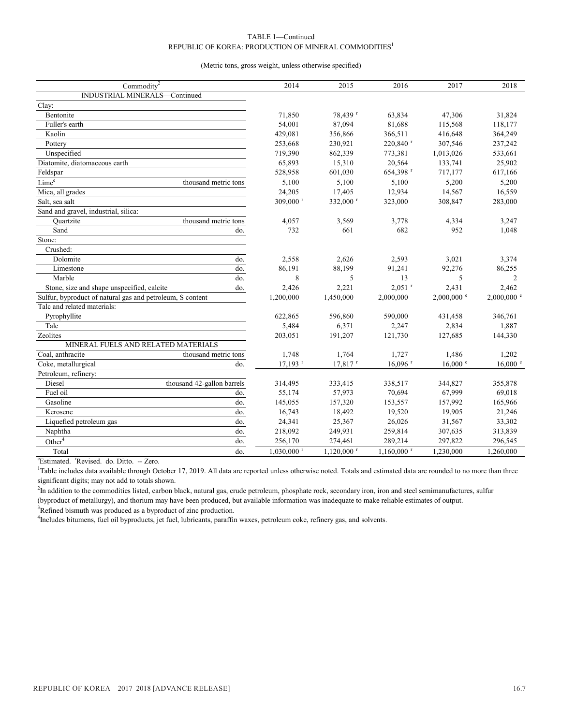#### TABLE 1—Continued REPUBLIC OF KOREA: PRODUCTION OF MINERAL COMMODITIES<sup>1</sup>

#### (Metric tons, gross weight, unless otherwise specified)

| Commodity <sup>2</sup>                                    |                            | 2014                     | 2015                     | 2016                     | 2017          | 2018                |
|-----------------------------------------------------------|----------------------------|--------------------------|--------------------------|--------------------------|---------------|---------------------|
| INDUSTRIAL MINERALS-Continued                             |                            |                          |                          |                          |               |                     |
| Clay:                                                     |                            |                          |                          |                          |               |                     |
| Bentonite                                                 |                            | 71,850                   | 78,439 r                 | 63,834                   | 47,306        | 31,824              |
| Fuller's earth                                            |                            | 54,001                   | 87,094                   | 81,688                   | 115,568       | 118,177             |
| Kaolin                                                    |                            | 429,081                  | 356,866                  | 366,511                  | 416,648       | 364,249             |
| Pottery                                                   |                            | 253,668                  | 230,921                  | 220,840 r                | 307,546       | 237,242             |
| Unspecified                                               |                            | 719,390                  | 862,339                  | 773,381                  | 1,013,026     | 533,661             |
| Diatomite, diatomaceous earth                             |                            | 65,893                   | 15,310                   | 20,564                   | 133,741       | 25,902              |
| Feldspar                                                  |                            | 528,958                  | 601,030                  | 654,398 r                | 717,177       | 617,166             |
| Lime <sup>e</sup>                                         | thousand metric tons       | 5,100                    | 5,100                    | 5,100                    | 5,200         | 5,200               |
| Mica, all grades                                          |                            | 24,205                   | 17,405                   | 12,934                   | 14,567        | 16,559              |
| Salt, sea salt                                            |                            | 309,000 r                | 332,000 r                | 323,000                  | 308,847       | 283,000             |
| Sand and gravel, industrial, silica:                      |                            |                          |                          |                          |               |                     |
| Ouartzite                                                 | thousand metric tons       | 4,057                    | 3,569                    | 3,778                    | 4,334         | 3,247               |
| Sand                                                      | do.                        | 732                      | 661                      | 682                      | 952           | 1,048               |
| Stone:                                                    |                            |                          |                          |                          |               |                     |
| Crushed:                                                  |                            |                          |                          |                          |               |                     |
| Dolomite                                                  | do.                        | 2,558                    | 2,626                    | 2,593                    | 3,021         | 3,374               |
| Limestone                                                 | do.                        | 86,191                   | 88,199                   | 91,241                   | 92,276        | 86,255              |
| Marble                                                    | do.                        | 8                        | 5                        | 13                       | 5             | 2                   |
| Stone, size and shape unspecified, calcite                | do.                        | 2,426                    | 2,221                    | $2,051$ <sup>r</sup>     | 2,431         | 2,462               |
| Sulfur, byproduct of natural gas and petroleum, S content | 1,200,000                  | 1,450,000                | 2,000,000                | $2,000,000$ <sup>e</sup> | $2,000,000$ e |                     |
| Talc and related materials:                               |                            |                          |                          |                          |               |                     |
| Pyrophyllite                                              |                            | 622,865                  | 596,860                  | 590,000                  | 431,458       | 346,761             |
| Talc                                                      |                            | 5,484                    | 6,371                    | 2,247                    | 2,834         | 1,887               |
| Zeolites                                                  |                            | 203,051                  | 191,207                  | 121,730                  | 127,685       | 144,330             |
| MINERAL FUELS AND RELATED MATERIALS                       |                            |                          |                          |                          |               |                     |
| Coal, anthracite                                          | thousand metric tons       | 1,748                    | 1,764                    | 1,727                    | 1,486         | 1,202               |
| Coke, metallurgical                                       | do.                        | $17,193$ <sup>r</sup>    | $17,817$ <sup>r</sup>    | $16.096$ <sup>r</sup>    | 16,000 e      | $16,000$ $^{\circ}$ |
| Petroleum, refinery:                                      |                            |                          |                          |                          |               |                     |
| Diesel                                                    | thousand 42-gallon barrels | 314,495                  | 333,415                  | 338,517                  | 344,827       | 355,878             |
| Fuel oil                                                  | do.                        | 55,174                   | 57,973                   | 70,694                   | 67,999        | 69,018              |
| Gasoline                                                  | do.                        | 145,055                  | 157,320                  | 153,557                  | 157,992       | 165,966             |
| Kerosene                                                  | do.                        | 16,743                   | 18,492                   | 19,520                   | 19,905        | 21,246              |
| Liquefied petroleum gas                                   | do.                        | 24,341                   | 25,367                   | 26,026                   | 31,567        | 33,302              |
| Naphtha                                                   | do.                        | 218,092                  | 249,931                  | 259,814                  | 307,635       | 313,839             |
| Other <sup>4</sup>                                        | do.                        | 256,170                  | 274,461                  | 289,214                  | 297,822       | 296,545             |
| Total                                                     | do.                        | $1,030,000$ <sup>r</sup> | $1,120,000$ <sup>r</sup> | $1,160,000$ <sup>r</sup> | 1,230,000     | 1,260,000           |

<sup>e</sup>Estimated. <sup>r</sup>Revised. do. Ditto. -- Zero.

<sup>1</sup>Table includes data available through October 17, 2019. All data are reported unless otherwise noted. Totals and estimated data are rounded to no more than three significant digits; may not add to totals shown.

<sup>2</sup>In addition to the commodities listed, carbon black, natural gas, crude petroleum, phosphate rock, secondary iron, iron and steel semimanufactures, sulfur (byproduct of metallurgy), and thorium may have been produced, but available information was inadequate to make reliable estimates of output.

 $3$ Refined bismuth was produced as a byproduct of zinc production.

<sup>4</sup>Includes bitumens, fuel oil byproducts, jet fuel, lubricants, paraffin waxes, petroleum coke, refinery gas, and solvents.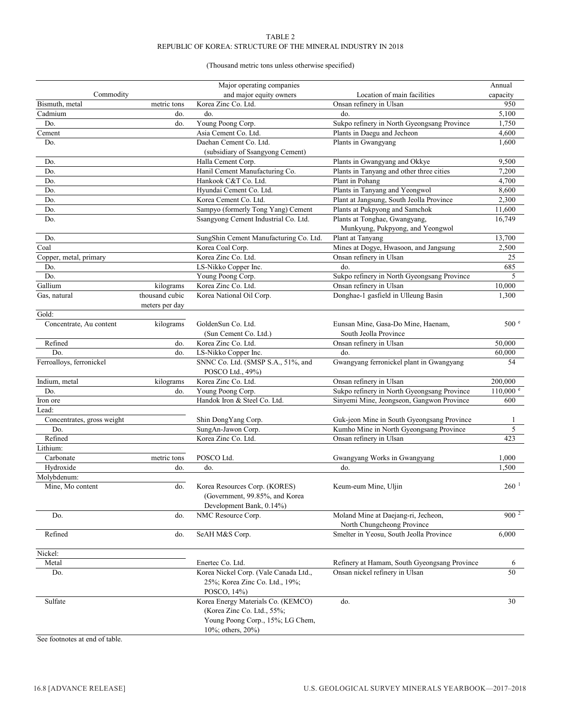#### TABLE 2 REPUBLIC OF KOREA: STRUCTURE OF THE MINERAL INDUSTRY IN 2018

#### (Thousand metric tons unless otherwise specified)

|                            |                | Major operating companies              |                                              | Annual              |
|----------------------------|----------------|----------------------------------------|----------------------------------------------|---------------------|
| Commodity                  |                | and major equity owners                | Location of main facilities                  | capacity            |
| Bismuth, metal             | metric tons    | Korea Zinc Co. Ltd.                    | Onsan refinery in Ulsan                      | 950                 |
| Cadmium                    | do.            | do.                                    | do.                                          | 5,100               |
| Do.                        | do.            | Young Poong Corp.                      | Sukpo refinery in North Gyeongsang Province  | 1,750               |
| Cement                     |                | Asia Cement Co. Ltd.                   | Plants in Daegu and Jecheon                  | 4,600               |
| Do.                        |                | Daehan Cement Co. Ltd.                 | Plants in Gwangyang                          | 1,600               |
|                            |                | (subsidiary of Ssangyong Cement)       |                                              |                     |
| Do.                        |                | Halla Cement Corp.                     | Plants in Gwangyang and Okkye                | 9,500               |
| Do.                        |                | Hanil Cement Manufacturing Co.         | Plants in Tanyang and other three cities     | 7,200               |
| Do.                        |                | Hankook C&T Co. Ltd.                   | Plant in Pohang                              | 4,700               |
| Do.                        |                | Hyundai Cement Co. Ltd.                | Plants in Tanyang and Yeongwol               | 8,600               |
| Do.                        |                | Korea Cement Co. Ltd.                  | Plant at Jangsung, South Jeolla Province     | 2,300               |
| Do.                        |                | Sampyo (formerly Tong Yang) Cement     | Plants at Pukpyong and Samchok               | 11.600              |
| Do.                        |                | Ssangyong Cement Industrial Co. Ltd.   | Plants at Tonghae, Gwangyang,                | 16,749              |
|                            |                |                                        | Munkyung, Pukpyong, and Yeongwol             |                     |
| Do.                        |                | SungShin Cement Manufacturing Co. Ltd. | Plant at Tanyang                             | 13,700              |
| Coal                       |                | Korea Coal Corp.                       | Mines at Dogye, Hwasoon, and Jangsung        | 2,500               |
| Copper, metal, primary     |                | Korea Zinc Co. Ltd.                    | Onsan refinery in Ulsan                      | 25                  |
| Do.                        |                | LS-Nikko Copper Inc.                   | do.                                          | 685                 |
| Do.                        |                | Young Poong Corp.                      | Sukpo refinery in North Gyeongsang Province  | 5                   |
| Gallium                    | kilograms      | Korea Zinc Co. Ltd.                    | Onsan refinery in Ulsan                      | 10,000              |
| Gas, natural               | thousand cubic | Korea National Oil Corp.               | Donghae-1 gasfield in Ulleung Basin          | 1,300               |
|                            | meters per day |                                        |                                              |                     |
| Gold:                      |                |                                        |                                              |                     |
| Concentrate, Au content    | kilograms      | GoldenSun Co. Ltd.                     | Eunsan Mine, Gasa-Do Mine, Haenam,           | 500 <sup>e</sup>    |
|                            |                | (Sun Cement Co. Ltd.)                  | South Jeolla Province                        |                     |
| Refined                    | do.            | Korea Zinc Co. Ltd.                    | Onsan refinery in Ulsan                      | 50,000              |
| Do.                        | do.            | LS-Nikko Copper Inc.                   | do.                                          | 60,000              |
| Ferroalloys, ferronickel   |                | SNNC Co. Ltd. (SMSP S.A., 51%, and     | Gwangyang ferronickel plant in Gwangyang     | 54                  |
|                            |                | POSCO Ltd., 49%)                       |                                              |                     |
| Indium, metal              | kilograms      | Korea Zinc Co. Ltd.                    | Onsan refinery in Ulsan                      | 200,000             |
| Do.                        | do.            | Young Poong Corp.                      | Sukpo refinery in North Gyeongsang Province  | $110,000$ $\degree$ |
| Iron ore                   |                | Handok Iron & Steel Co. Ltd.           | Sinyemi Mine, Jeongseon, Gangwon Province    | 600                 |
| Lead:                      |                |                                        |                                              |                     |
| Concentrates, gross weight |                | Shin DongYang Corp.                    | Guk-jeon Mine in South Gyeongsang Province   | 1                   |
| Do.                        |                | SungAn-Jawon Corp.                     | Kumho Mine in North Gyeongsang Province      | 5                   |
| Refined                    |                | Korea Zinc Co. Ltd.                    | Onsan refinery in Ulsan                      | 423                 |
| Lithium:                   |                |                                        |                                              |                     |
| Carbonate                  | metric tons    | POSCO Ltd.                             | Gwangyang Works in Gwangyang                 | 1,000               |
| Hydroxide                  | do.            | do.                                    | do.                                          | 1,500               |
| Molybdenum:                |                |                                        |                                              |                     |
| Mine, Mo content           | do.            | Korea Resources Corp. (KORES)          | Keum-eum Mine, Uljin                         | $260 \ ^1$          |
|                            |                | (Government, 99.85%, and Korea         |                                              |                     |
|                            |                | Development Bank, 0.14%)               |                                              |                     |
| Do.                        | do.            | NMC Resource Corp.                     | Moland Mine at Daejang-ri, Jecheon,          | $900^2$             |
|                            |                |                                        | North Chungcheong Province                   |                     |
| Refined                    | do.            | SeAH M&S Corp.                         | Smelter in Yeosu, South Jeolla Province      | 6,000               |
|                            |                |                                        |                                              |                     |
| Nickel:                    |                |                                        |                                              |                     |
| Metal                      |                | Enertec Co. Ltd.                       | Refinery at Hamam, South Gyeongsang Province | 6                   |
| Do.                        |                | Korea Nickel Corp. (Vale Canada Ltd.,  | Onsan nickel refinery in Ulsan               | 50                  |
|                            |                | 25%; Korea Zinc Co. Ltd., 19%;         |                                              |                     |
|                            |                | POSCO, 14%)                            |                                              |                     |
| Sulfate                    |                | Korea Energy Materials Co. (KEMCO)     | do.                                          | 30                  |
|                            |                | (Korea Zinc Co. Ltd., 55%;             |                                              |                     |
|                            |                | Young Poong Corp., 15%; LG Chem,       |                                              |                     |
|                            |                | 10%; others, $20%$                     |                                              |                     |

See footnotes at end of table.